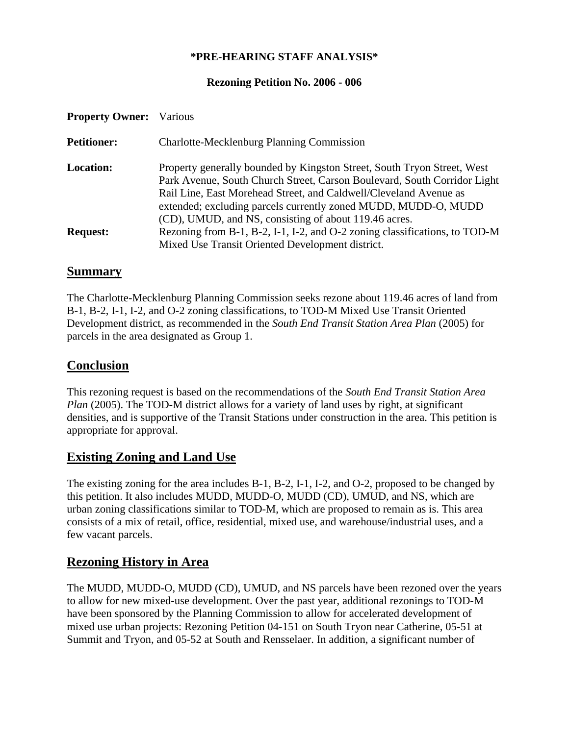#### **\*PRE-HEARING STAFF ANALYSIS\***

#### **Rezoning Petition No. 2006 - 006**

| <b>Property Owner:</b> Various |                                                                                                                                                                                                                                                                                                                                                     |
|--------------------------------|-----------------------------------------------------------------------------------------------------------------------------------------------------------------------------------------------------------------------------------------------------------------------------------------------------------------------------------------------------|
| <b>Petitioner:</b>             | <b>Charlotte-Mecklenburg Planning Commission</b>                                                                                                                                                                                                                                                                                                    |
| <b>Location:</b>               | Property generally bounded by Kingston Street, South Tryon Street, West<br>Park Avenue, South Church Street, Carson Boulevard, South Corridor Light<br>Rail Line, East Morehead Street, and Caldwell/Cleveland Avenue as<br>extended; excluding parcels currently zoned MUDD, MUDD-O, MUDD<br>(CD), UMUD, and NS, consisting of about 119.46 acres. |
| <b>Request:</b>                | Rezoning from B-1, B-2, I-1, I-2, and O-2 zoning classifications, to TOD-M<br>Mixed Use Transit Oriented Development district.                                                                                                                                                                                                                      |

#### **Summary**

The Charlotte-Mecklenburg Planning Commission seeks rezone about 119.46 acres of land from B-1, B-2, I-1, I-2, and O-2 zoning classifications, to TOD-M Mixed Use Transit Oriented Development district, as recommended in the *South End Transit Station Area Plan* (2005) for parcels in the area designated as Group 1.

### **Conclusion**

This rezoning request is based on the recommendations of the *South End Transit Station Area Plan* (2005). The TOD-M district allows for a variety of land uses by right, at significant densities, and is supportive of the Transit Stations under construction in the area. This petition is appropriate for approval.

## **Existing Zoning and Land Use**

The existing zoning for the area includes B-1, B-2, I-1, I-2, and O-2, proposed to be changed by this petition. It also includes MUDD, MUDD-O, MUDD (CD), UMUD, and NS, which are urban zoning classifications similar to TOD-M, which are proposed to remain as is. This area consists of a mix of retail, office, residential, mixed use, and warehouse/industrial uses, and a few vacant parcels.

## **Rezoning History in Area**

The MUDD, MUDD-O, MUDD (CD), UMUD, and NS parcels have been rezoned over the years to allow for new mixed-use development. Over the past year, additional rezonings to TOD-M have been sponsored by the Planning Commission to allow for accelerated development of mixed use urban projects: Rezoning Petition 04-151 on South Tryon near Catherine, 05-51 at Summit and Tryon, and 05-52 at South and Rensselaer. In addition, a significant number of